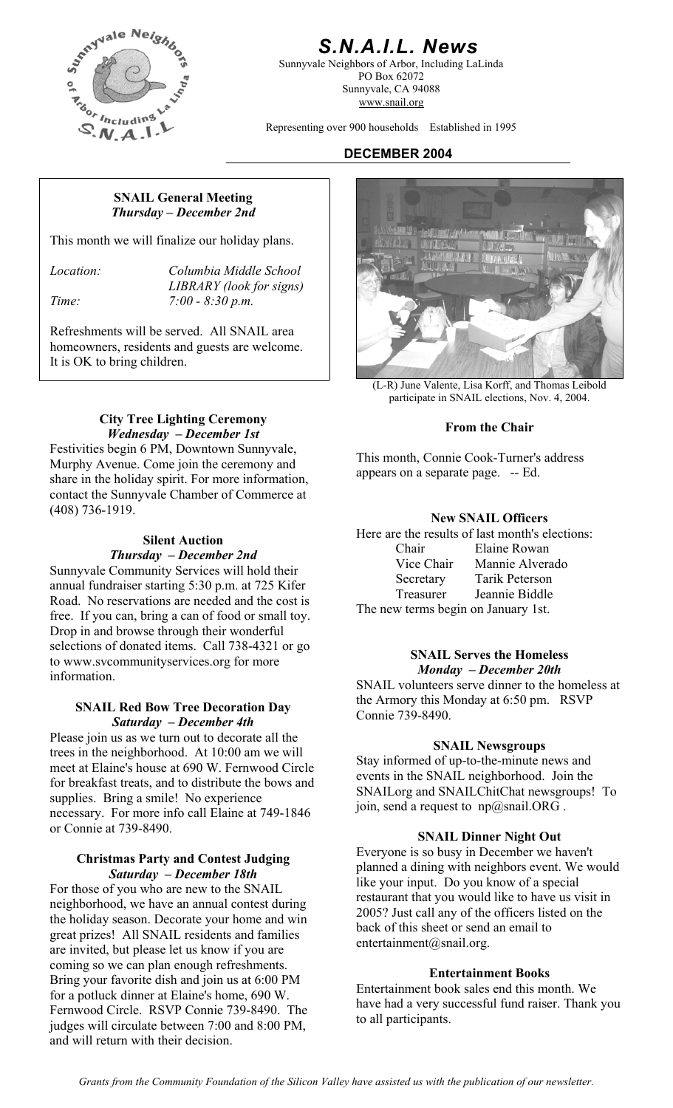

# *S.N.A.I.L. News*

Sunnyvale Neighbors of Arbor, Including LaLinda PO Box 62072 Sunnyvale, CA 94088 www.snail.org

Representing over 900 households Established in 1995

# **DECEMBER 2004**

#### **SNAIL General Meeting**  *Thursday – December 2nd*

This month we will finalize our holiday plans.

*Location: Columbia Middle School LIBRARY (look for signs) Time: 7:00 - 8:30 p.m.* 

Refreshments will be served. All SNAIL area homeowners, residents and guests are welcome. It is OK to bring children.

# **City Tree Lighting Ceremony From the Chair** *Wednesday – December 1st*

Festivities begin 6 PM, Downtown Sunnyvale, Murphy Avenue. Come join the ceremony and share in the holiday spirit. For more information, contact the Sunnyvale Chamber of Commerce at (408) 736-1919.

annual fundraiser starting 5:30 p.m. at 725 Kifer Road. No reservations are needed and the cost is free. If you can, bring a can of food or small toy. Drop in and browse through their wonderful selections of donated items. Call 738-4321 or go to www.svcommunityservices.org for more information.

#### SNAIL Red Bow Tree Decoration Day **SNAIL Red Bow Tree Decoration Day** Connie 739-8490. *Saturday – December 4th*

Please join us as we turn out to decorate all the trees in the neighborhood. At 10:00 am we will meet at Elaine's house at 690 W. Fernwood Circle for breakfast treats, and to distribute the bows and supplies. Bring a smile! No experience necessary. For more info call Elaine at 749-1846 or Connie at 739-8490.

### **Christmas Party and Contest Judging**  *Saturday – December 18th*

For those of you who are new to the SNAIL neighborhood, we have an annual contest during the holiday season. Decorate your home and win great prizes! All SNAIL residents and families are invited, but please let us know if you are coming so we can plan enough refreshments. Bring your favorite dish and join us at 6:00 PM for a potluck dinner at Elaine's home, 690 W. Fernwood Circle. RSVP Connie 739-8490. The judges will circulate between 7:00 and 8:00 PM, and will return with their decision.



(L-R) June Valente, Lisa Korff, and Thomas Leibold participate in SNAIL elections, Nov. 4, 2004.

This month, Connie Cook-Turner's address appears on a separate page. -- Ed.

# **New SNAIL Officers**

Silent Auction *Fhursday – December 2nd* Chair Elaine Rowan *Chair* Elaine Rowan *Sunnyvale Community Services will hold their* Vice Chair *Mannie Alverado Secretary Tarik Peterson* Tarik Peterson Treasurer Jeannie Biddle The new terms begin on January 1st.

#### **SNAIL Serves the Homeless**  *Monday – December 20th*

SNAIL volunteers serve dinner to the homeless at the Armory this Monday at 6:50 pm. RSVP

# **SNAIL Newsgroups**

Stay informed of up-to-the-minute news and events in the SNAIL neighborhood. Join the SNAILorg and SNAILChitChat newsgroups! To join, send a request to  $np@snail.ORG$ .

# **SNAIL Dinner Night Out**

Everyone is so busy in December we haven't planned a dining with neighbors event. We would like your input. Do you know of a special restaurant that you would like to have us visit in 2005? Just call any of the officers listed on the back of this sheet or send an email to entertainment@snail.org.

# **Entertainment Books**

Entertainment book sales end this month. We have had a very successful fund raiser. Thank you to all participants.